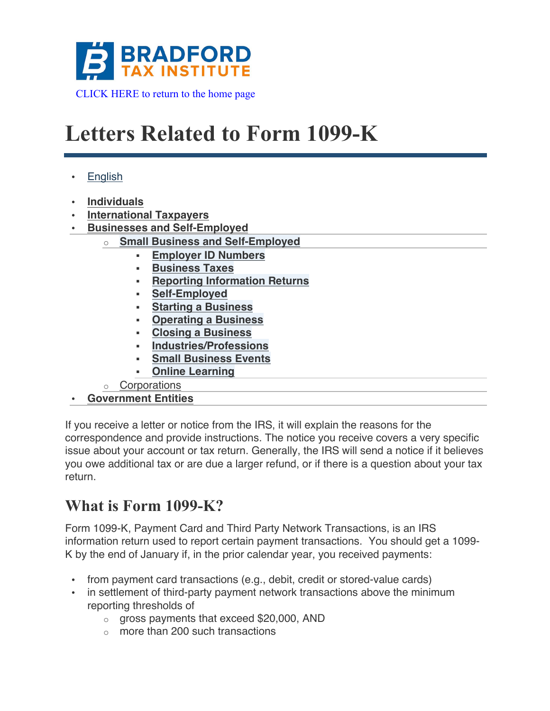

# **Letters Related to Form 1099-K**

- English
- **Individuals**
- **International Taxpayers**
- **Businesses and Self-Employed**
	- **Small Business and Self-Employed** 
		- § **Employer ID Numbers**
		- § **Business Taxes**
		- § **Reporting Information Returns**
		- § **Self-Employed**
		- § **Starting a Business**
		- § **Operating a Business**
		- § **Closing a Business**
		- § **Industries/Professions**
		- § **Small Business Events**
		- § **Online Learning**
	- o Corporations
- **Government Entities**

If you receive a letter or notice from the IRS, it will explain the reasons for the correspondence and provide instructions. The notice you receive covers a very specific issue about your account or tax return. Generally, the IRS will send a notice if it believes you owe additional tax or are due a larger refund, or if there is a question about your tax return.

### **What is Form 1099-K?**

Form 1099-K, Payment Card and Third Party Network Transactions, is an IRS information return used to report certain payment transactions. You should get a 1099- K by the end of January if, in the prior calendar year, you received payments:

- from payment card transactions (e.g., debit, credit or stored-value cards)
- in settlement of third-party payment network transactions above the minimum reporting thresholds of
	- o gross payments that exceed \$20,000, AND
	- $\circ$  more than 200 such transactions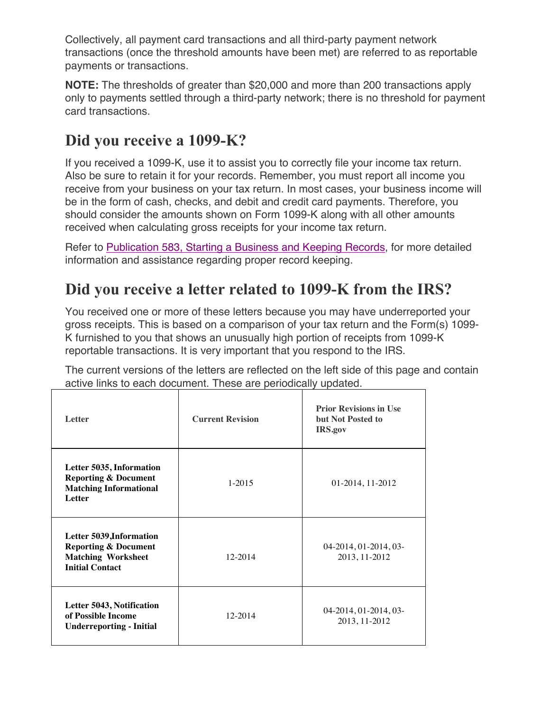Collectively, all payment card transactions and all third-party payment network transactions (once the threshold amounts have been met) are referred to as reportable payments or transactions.

**NOTE:** The thresholds of greater than \$20,000 and more than 200 transactions apply only to payments settled through a third-party network; there is no threshold for payment card transactions.

### **Did you receive a 1099-K?**

If you received a 1099-K, use it to assist you to correctly file your income tax return. Also be sure to retain it for your records. Remember, you must report all income you receive from your business on your tax return. In most cases, your business income will be in the form of cash, checks, and debit and credit card payments. Therefore, you should consider the amounts shown on Form 1099-K along with all other amounts received when calculating gross receipts for your income tax return.

Refer to Publication 583, Starting a Business and Keeping Records, for more detailed information and assistance regarding proper record keeping.

### **Did you receive a letter related to 1099-K from the IRS?**

You received one or more of these letters because you may have underreported your gross receipts. This is based on a comparison of your tax return and the Form(s) 1099- K furnished to you that shows an unusually high portion of receipts from 1099-K reportable transactions. It is very important that you respond to the IRS.

The current versions of the letters are reflected on the left side of this page and contain active links to each document. These are periodically updated.

| <b>Letter</b>                                                                                                      | <b>Current Revision</b> | <b>Prior Revisions in Use</b><br>but Not Posted to<br>IRS.gov |
|--------------------------------------------------------------------------------------------------------------------|-------------------------|---------------------------------------------------------------|
| Letter 5035, Information<br><b>Reporting &amp; Document</b><br><b>Matching Informational</b><br>Letter             | $1 - 2015$              | 01-2014, 11-2012                                              |
| Letter 5039, Information<br><b>Reporting &amp; Document</b><br><b>Matching Worksheet</b><br><b>Initial Contact</b> | 12-2014                 | 04-2014, 01-2014, 03-<br>2013, 11-2012                        |
| Letter 5043, Notification<br>of Possible Income<br><b>Underreporting - Initial</b>                                 | 12-2014                 | 04-2014, 01-2014, 03-<br>2013, 11-2012                        |